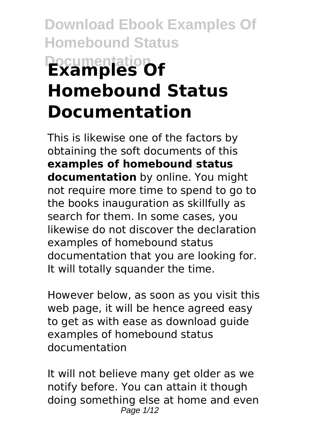# **Download Ebook Examples Of Homebound Status Documentation Homebound Status Documentation**

This is likewise one of the factors by obtaining the soft documents of this **examples of homebound status documentation** by online. You might not require more time to spend to go to the books inauguration as skillfully as search for them. In some cases, you likewise do not discover the declaration examples of homebound status documentation that you are looking for. It will totally squander the time.

However below, as soon as you visit this web page, it will be hence agreed easy to get as with ease as download guide examples of homebound status documentation

It will not believe many get older as we notify before. You can attain it though doing something else at home and even Page 1/12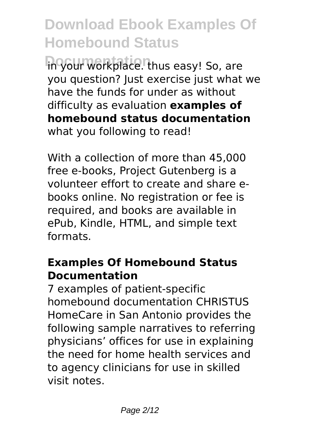in your workplace. thus easy! So, are you question? Just exercise just what we have the funds for under as without difficulty as evaluation **examples of homebound status documentation** what you following to read!

With a collection of more than 45,000 free e-books, Project Gutenberg is a volunteer effort to create and share ebooks online. No registration or fee is required, and books are available in ePub, Kindle, HTML, and simple text formats.

### **Examples Of Homebound Status Documentation**

7 examples of patient-specific homebound documentation CHRISTUS HomeCare in San Antonio provides the following sample narratives to referring physicians' offices for use in explaining the need for home health services and to agency clinicians for use in skilled visit notes.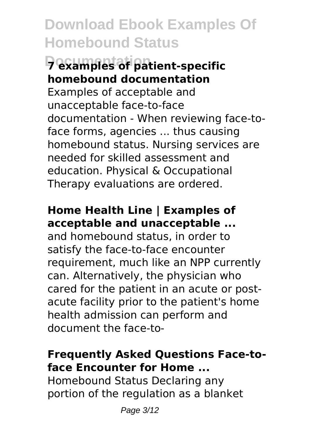# **Documentation 7 examples of patient-specific homebound documentation**

Examples of acceptable and unacceptable face-to-face documentation - When reviewing face-toface forms, agencies ... thus causing homebound status. Nursing services are needed for skilled assessment and education. Physical & Occupational Therapy evaluations are ordered.

### **Home Health Line | Examples of acceptable and unacceptable ...**

and homebound status, in order to satisfy the face-to-face encounter requirement, much like an NPP currently can. Alternatively, the physician who cared for the patient in an acute or postacute facility prior to the patient's home health admission can perform and document the face-to-

### **Frequently Asked Questions Face-toface Encounter for Home ...**

Homebound Status Declaring any portion of the regulation as a blanket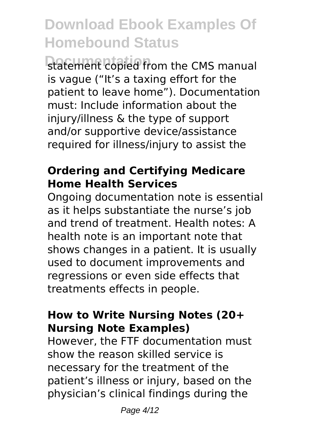statement copied from the CMS manual is vague ("It's a taxing effort for the patient to leave home"). Documentation must: Include information about the injury/illness & the type of support and/or supportive device/assistance required for illness/injury to assist the

### **Ordering and Certifying Medicare Home Health Services**

Ongoing documentation note is essential as it helps substantiate the nurse's job and trend of treatment. Health notes: A health note is an important note that shows changes in a patient. It is usually used to document improvements and regressions or even side effects that treatments effects in people.

### **How to Write Nursing Notes (20+ Nursing Note Examples)**

However, the FTF documentation must show the reason skilled service is necessary for the treatment of the patient's illness or injury, based on the physician's clinical findings during the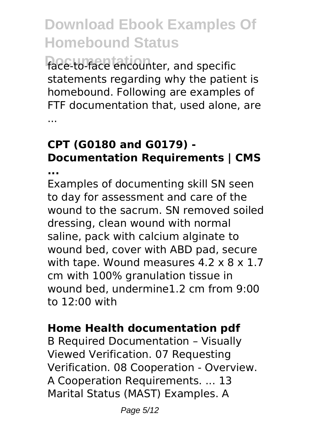face-to-face encounter, and specific statements regarding why the patient is homebound. Following are examples of FTF documentation that, used alone, are ...

# **CPT (G0180 and G0179) - Documentation Requirements | CMS**

**...**

Examples of documenting skill SN seen to day for assessment and care of the wound to the sacrum. SN removed soiled dressing, clean wound with normal saline, pack with calcium alginate to wound bed, cover with ABD pad, secure with tape. Wound measures 4.2 x 8 x 1.7 cm with 100% granulation tissue in wound bed, undermine1.2 cm from 9:00 to 12:00 with

#### **Home Health documentation pdf**

B Required Documentation – Visually Viewed Verification. 07 Requesting Verification. 08 Cooperation - Overview. A Cooperation Requirements. ... 13 Marital Status (MAST) Examples. A

Page 5/12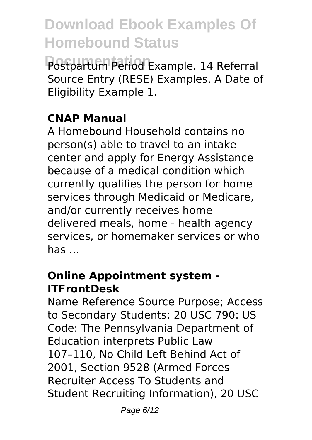Postpartum Period Example. 14 Referral Source Entry (RESE) Examples. A Date of Eligibility Example 1.

### **CNAP Manual**

A Homebound Household contains no person(s) able to travel to an intake center and apply for Energy Assistance because of a medical condition which currently qualifies the person for home services through Medicaid or Medicare, and/or currently receives home delivered meals, home - health agency services, or homemaker services or who has ...

#### **Online Appointment system - ITFrontDesk**

Name Reference Source Purpose; Access to Secondary Students: 20 USC 790: US Code: The Pennsylvania Department of Education interprets Public Law 107–110, No Child Left Behind Act of 2001, Section 9528 (Armed Forces Recruiter Access To Students and Student Recruiting Information), 20 USC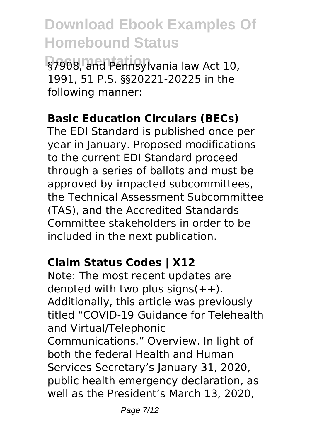§7908, and Pennsylvania law Act 10, 1991, 51 P.S. §§20221-20225 in the following manner:

#### **Basic Education Circulars (BECs)**

The EDI Standard is published once per year in January. Proposed modifications to the current EDI Standard proceed through a series of ballots and must be approved by impacted subcommittees, the Technical Assessment Subcommittee (TAS), and the Accredited Standards Committee stakeholders in order to be included in the next publication.

#### **Claim Status Codes | X12**

Note: The most recent updates are denoted with two plus signs $(++)$ . Additionally, this article was previously titled "COVID-19 Guidance for Telehealth and Virtual/Telephonic Communications." Overview. In light of both the federal Health and Human Services Secretary's January 31, 2020, public health emergency declaration, as well as the President's March 13, 2020,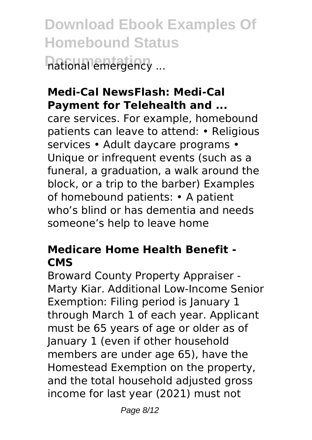**Download Ebook Examples Of Homebound Status Dational emergency ...** 

### **Medi-Cal NewsFlash: Medi-Cal Payment for Telehealth and ...**

care services. For example, homebound patients can leave to attend: • Religious services • Adult davcare programs • Unique or infrequent events (such as a funeral, a graduation, a walk around the block, or a trip to the barber) Examples of homebound patients: • A patient who's blind or has dementia and needs someone's help to leave home

# **Medicare Home Health Benefit - CMS**

Broward County Property Appraiser - Marty Kiar. Additional Low-Income Senior Exemption: Filing period is January 1 through March 1 of each year. Applicant must be 65 years of age or older as of January 1 (even if other household members are under age 65), have the Homestead Exemption on the property, and the total household adjusted gross income for last year (2021) must not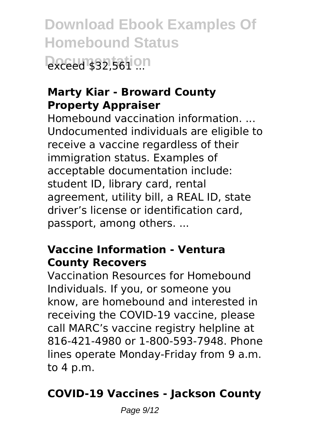**Download Ebook Examples Of Homebound Status Doced \$32,561 0.0** 

#### **Marty Kiar - Broward County Property Appraiser**

Homebound vaccination information. ... Undocumented individuals are eligible to receive a vaccine regardless of their immigration status. Examples of acceptable documentation include: student ID, library card, rental agreement, utility bill, a REAL ID, state driver's license or identification card, passport, among others. ...

#### **Vaccine Information - Ventura County Recovers**

Vaccination Resources for Homebound Individuals. If you, or someone you know, are homebound and interested in receiving the COVID-19 vaccine, please call MARC's vaccine registry helpline at 816-421-4980 or 1-800-593-7948. Phone lines operate Monday-Friday from 9 a.m. to 4 p.m.

### **COVID-19 Vaccines - Jackson County**

Page  $9/12$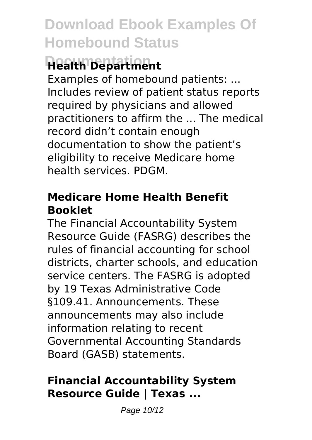# **Health Department**

Examples of homebound patients: ... Includes review of patient status reports required by physicians and allowed practitioners to affirm the ... The medical record didn't contain enough documentation to show the patient's eligibility to receive Medicare home health services. PDGM.

### **Medicare Home Health Benefit Booklet**

The Financial Accountability System Resource Guide (FASRG) describes the rules of financial accounting for school districts, charter schools, and education service centers. The FASRG is adopted by 19 Texas Administrative Code §109.41. Announcements. These announcements may also include information relating to recent Governmental Accounting Standards Board (GASB) statements.

### **Financial Accountability System Resource Guide | Texas ...**

Page 10/12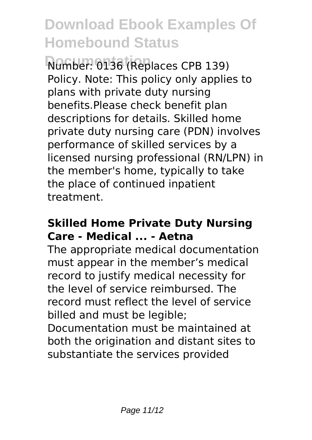**Documentation** Number: 0136 (Replaces CPB 139) Policy. Note: This policy only applies to plans with private duty nursing benefits.Please check benefit plan descriptions for details. Skilled home private duty nursing care (PDN) involves performance of skilled services by a licensed nursing professional (RN/LPN) in the member's home, typically to take the place of continued inpatient treatment.

#### **Skilled Home Private Duty Nursing Care - Medical ... - Aetna**

The appropriate medical documentation must appear in the member's medical record to justify medical necessity for the level of service reimbursed. The record must reflect the level of service billed and must be legible;

Documentation must be maintained at both the origination and distant sites to substantiate the services provided